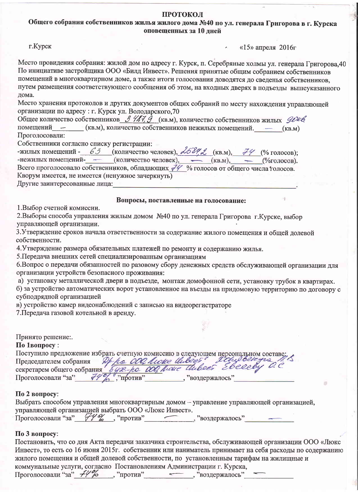#### ПРОТОКОЛ

Общего собрания собственников жилья жилого дома №40 по ул. генерала Григорова в г. Курска оповещенных за 10 лней

г.Курск

**Contract** «15» апреля 2016 $r$ 

Место провидения собрания: жилой дом по адресу г. Курск, п. Серебряные холмы ул. генерала Григорова, 40 По инициативе застройщика ООО «Билд Инвест». Решения принятые общим собранием собственников помещений в многоквартирном доме, а также итоги голосования доводятся до сведенья собственников, путем размещения соответствующего сообщения об этом, на входных дверях в подъезды вышеуказанного дома.

Место хранения протоколов и других документов общих собраний по месту нахождения управляющей организации по адресу: г. Курск ул. Володарского, 70

Общее количество собственников  $\beta$  /  $\beta$  (кв.м), количество собственников жилых  $\varphi$ помещений - (кв.м), количество собственников нежилых помещений. - (кв.м) Проголосовали:

Собственники согласно списку регистрации:

-жилых помещений - 63 (количество человек),  $\lambda 689$  (кв.м),  $79$  (% голосов); -нежилых помещений-<br> **Всего проголосовало собственников**, обладающих  $\overline{\mathcal{H}}$  % голосов от общего числа голосов. Кворум имеется, не имеется (ненужное зачеркнуть)

Другие заинтересованные лица:

#### Вопросы, поставленные на голосование:

1. Выбор счетной комиссии.

2. Выборы способа управления жилым домом №40 по ул. генерала Григорова г. Курске, выбор управляющей организации.

3. Утверждение сроков начала ответственности за содержание жилого помещения и общей долевой собственности.

4. Утверждение размера обязательных платежей по ремонту и содержанию жилья.

5. Передача внешних сетей специализированным организациям

6. Вопрос о передачи обязанностей по разовому сбору денежных средств обслуживающей организации для организации устройств безопасного проживания:

а) установку металлической двери в подъезде, монтаж домофонной сети, установку трубок в квартирах.

б) за устройство автоматических ворот установленное на въезды на придомовую территорию по договору с субподрядной организацией

в) устройство камер видеонаблюдений с записью на видеорегистраторе

7. Передача газовой котельной в аренду.

## Принято решение:.

По 1вопросу:

Поступило предложение избрать счетную комиссию в следующем персональном составе: Председателем собрания буде-ро обединие выблем составет Председателем собрания буде-ро обединие Инвест Евесеву С.

## По 2 вопросу:

| Выбрать способом управления многоквартирным домом - управление управляющей организацией, |  |                |  |
|------------------------------------------------------------------------------------------|--|----------------|--|
| управляющей организацией выбрать ООО «Люкс Инвест».                                      |  |                |  |
| Проголосовали "за" НУ %, "против"                                                        |  | "воздержалось" |  |

## По 3 вопросу:

Постановить, что со дня Акта передачи заказчика строительства, обслуживающей организации ООО «Люкс Инвест», то есть со 16 июня 2015г. собственник или наниматель принимает на себя расходы по содержанию жилого помещения и общей долевой собственности, по установленным тарифам на жилищные и коммунальные услуги, согласно Постановлениям Администрации г. Курска, Проголосовали "за"  $\frac{1}{2}$ %, "против", "воздержалось"